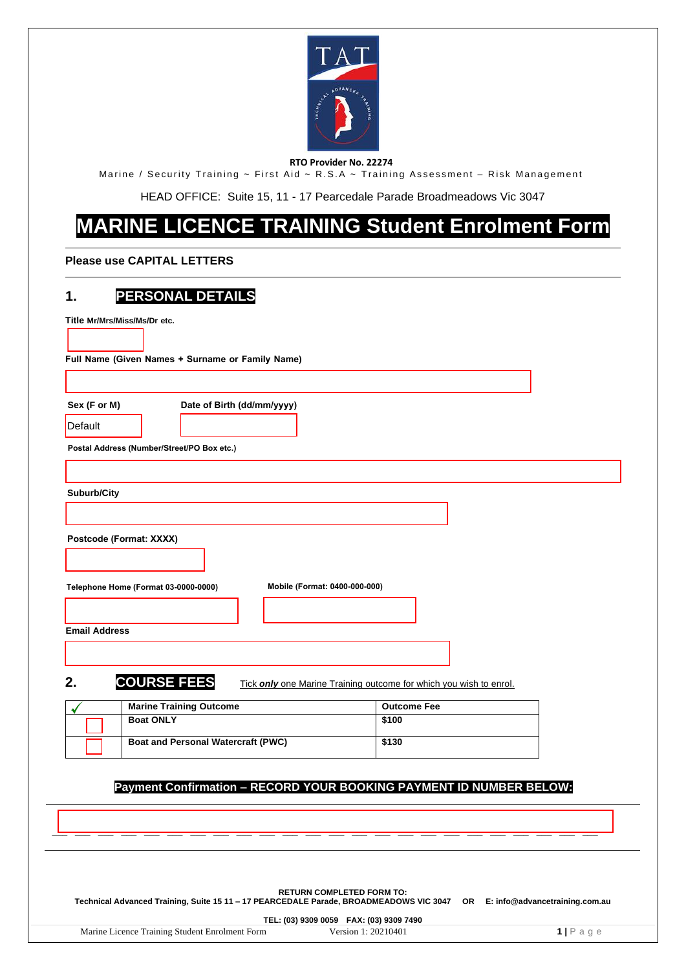

#### **RTO Provider No. 22274**

Marine / Security Training ~ First Aid ~ R.S.A ~ Training Assessment – Risk Management

HEAD OFFICE: Suite 15, 11 - 17 Pearcedale Parade Broadmeadows Vic 3047

# **MARINE LICENCE TRAINING Student Enrolment Form**

#### **Please use CAPITAL LETTERS**

# **1. PERSONAL DETAILS**

| . .<br>име                                                                                     |                                                                       |                    |  |
|------------------------------------------------------------------------------------------------|-----------------------------------------------------------------------|--------------------|--|
| Title Mr/Mrs/Miss/Ms/Dr etc.                                                                   |                                                                       |                    |  |
|                                                                                                |                                                                       |                    |  |
|                                                                                                | Full Name (Given Names + Surname or Family Name)                      |                    |  |
|                                                                                                |                                                                       |                    |  |
| Sex (F or M)                                                                                   | Date of Birth (dd/mm/yyyy)                                            |                    |  |
| Default                                                                                        |                                                                       |                    |  |
|                                                                                                | Postal Address (Number/Street/PO Box etc.)                            |                    |  |
|                                                                                                |                                                                       |                    |  |
|                                                                                                |                                                                       |                    |  |
| Suburb/City                                                                                    |                                                                       |                    |  |
|                                                                                                |                                                                       |                    |  |
| Postcode (Format: XXXX)                                                                        |                                                                       |                    |  |
|                                                                                                |                                                                       |                    |  |
|                                                                                                |                                                                       |                    |  |
|                                                                                                | Mobile (Format: 0400-000-000)<br>Telephone Home (Format 03-0000-0000) |                    |  |
|                                                                                                |                                                                       |                    |  |
| <b>Email Address</b>                                                                           |                                                                       |                    |  |
|                                                                                                |                                                                       |                    |  |
|                                                                                                |                                                                       |                    |  |
| <b>COURSE FEES</b><br>2.<br>Tick only one Marine Training outcome for which you wish to enrol. |                                                                       |                    |  |
|                                                                                                | <b>Marine Training Outcome</b>                                        | <b>Outcome Fee</b> |  |
|                                                                                                | <b>Boat ONLY</b>                                                      | \$100              |  |
|                                                                                                | <b>Boat and Personal Watercraft (PWC)</b>                             | \$130              |  |
|                                                                                                |                                                                       |                    |  |
| Payment Confirmation - RECORD YOUR BOOKING PAYMENT ID NUMBER BELOW:                            |                                                                       |                    |  |
|                                                                                                |                                                                       |                    |  |

**RETURN COMPLETED FORM TO: Technical Advanced Training, Suite 15 11 – 17 PEARCEDALE Parade, BROADMEADOWS VIC 3047 OR E: info@advancetraining.com.au**

\_\_\_ \_\_\_ \_\_\_ \_\_\_ \_\_\_ \_\_\_ \_\_\_ \_\_\_ \_\_\_ \_\_\_ \_\_\_ \_\_\_ \_\_\_ \_\_\_ \_\_\_ \_\_\_ \_\_\_ \_\_\_ \_\_\_ \_\_\_ \_\_\_ \_\_\_ \_\_\_ \_\_\_

**TEL: (03) 9309 0059 FAX: (03) 9309 7490**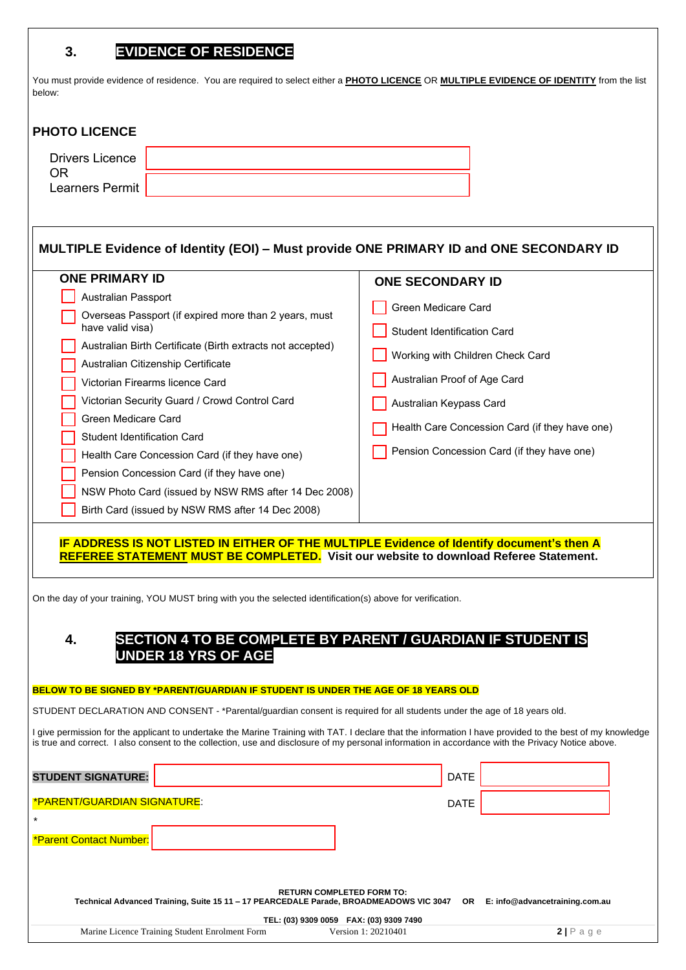## **3. EVIDENCE OF RESIDENCE**

You must provide evidence of residence. You are required to select either a **PHOTO LICENCE** OR **MULTIPLE EVIDENCE OF IDENTITY** from the list below:

### **PHOTO LICENCE**

| Drivers Licence |  |
|-----------------|--|
| Learners Permit |  |

| MULTIPLE Evidence of Identity (EOI) – Must provide ONE PRIMARY ID and ONE SECONDARY ID |                                                |  |
|----------------------------------------------------------------------------------------|------------------------------------------------|--|
| <b>ONE PRIMARY ID</b>                                                                  | <b>ONE SECONDARY ID</b>                        |  |
| <b>Australian Passport</b>                                                             |                                                |  |
| Overseas Passport (if expired more than 2 years, must                                  | Green Medicare Card                            |  |
| have valid visa)                                                                       | <b>Student Identification Card</b>             |  |
| Australian Birth Certificate (Birth extracts not accepted)                             | Working with Children Check Card               |  |
| Australian Citizenship Certificate                                                     |                                                |  |
| Victorian Firearms licence Card                                                        | Australian Proof of Age Card                   |  |
| Victorian Security Guard / Crowd Control Card                                          | Australian Keypass Card                        |  |
| Green Medicare Card                                                                    | Health Care Concession Card (if they have one) |  |
| <b>Student Identification Card</b>                                                     |                                                |  |
| Health Care Concession Card (if they have one)                                         | Pension Concession Card (if they have one)     |  |
| Pension Concession Card (if they have one)                                             |                                                |  |
| NSW Photo Card (issued by NSW RMS after 14 Dec 2008)                                   |                                                |  |
| Birth Card (issued by NSW RMS after 14 Dec 2008)                                       |                                                |  |

#### **IF ADDRESS IS NOT LISTED IN EITHER OF THE MULTIPLE Evidence of Identify document's then A REFEREE STATEMENT MUST BE COMPLETED. Visit our website to download Referee Statement.**

On the day of your training, YOU MUST bring with you the selected identification(s) above for verification.

## **4. SECTION 4 TO BE COMPLETE BY PARENT / GUARDIAN IF STUDENT IS UNDER 18 YRS OF AGE**

#### **BELOW TO BE SIGNED BY \*PARENT/GUARDIAN IF STUDENT IS UNDER THE AGE OF 18 YEARS OLD**

STUDENT DECLARATION AND CONSENT - \*Parental/guardian consent is required for all students under the age of 18 years old.

I give permission for the applicant to undertake the Marine Training with TAT. I declare that the information I have provided to the best of my knowledge is true and correct. I also consent to the collection, use and disclosure of my personal information in accordance with the Privacy Notice above.

| <b>STUDENT SIGNATURE:</b>                                                              | <b>DATE</b>                                                                         |                                |  |
|----------------------------------------------------------------------------------------|-------------------------------------------------------------------------------------|--------------------------------|--|
| <b>*PARENT/GUARDIAN SIGNATURE:</b>                                                     | <b>DATE</b>                                                                         |                                |  |
| $\star$<br><b>*Parent Contact Number:</b>                                              |                                                                                     |                                |  |
| Technical Advanced Training, Suite 15 11 - 17 PEARCEDALE Parade, BROADMEADOWS VIC 3047 | <b>RETURN COMPLETED FORM TO:</b><br>OR .<br>TEL: (03) 9309 0059 FAX: (03) 9309 7490 | E: info@advancetraining.com.au |  |
| Marine Licence Training Student Enrolment Form                                         | Version 1: 20210401                                                                 | $2 P \text{ age}$              |  |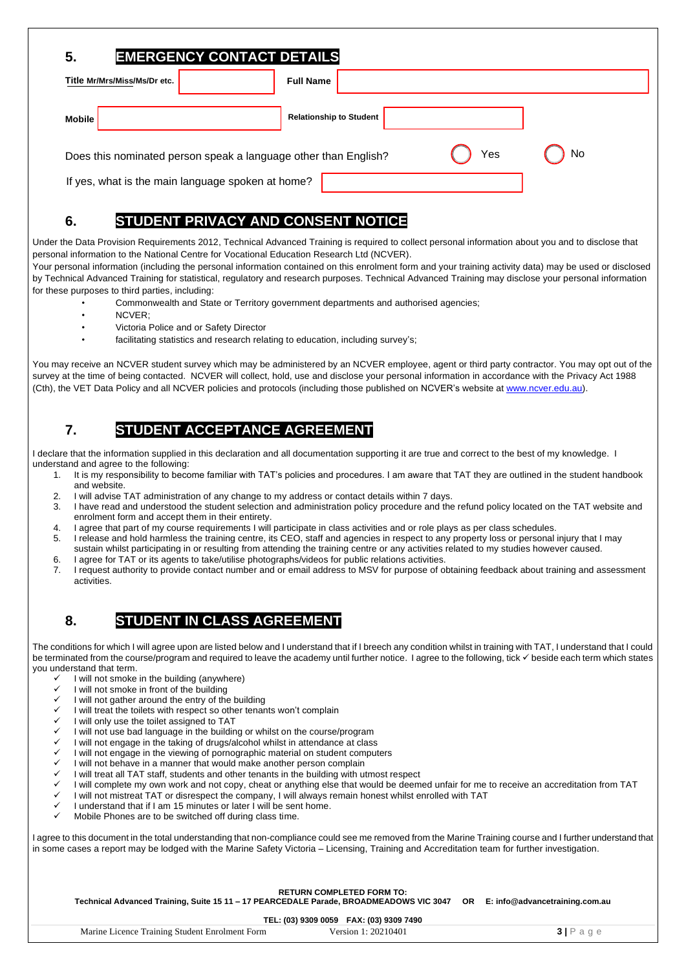| <b>EMERGENCY CONTACT DETAILS</b><br>5.                                       |                                |  |
|------------------------------------------------------------------------------|--------------------------------|--|
| Title Mr/Mrs/Miss/Ms/Dr etc.                                                 | <b>Full Name</b>               |  |
| <b>Mobile</b>                                                                | <b>Relationship to Student</b> |  |
| No<br>Yes<br>Does this nominated person speak a language other than English? |                                |  |
| If yes, what is the main language spoken at home?                            |                                |  |

# **6. STUDENT PRIVACY AND CONSENT NOTICE**

Under the Data Provision Requirements 2012, Technical Advanced Training is required to collect personal information about you and to disclose that personal information to the National Centre for Vocational Education Research Ltd (NCVER).

Your personal information (including the personal information contained on this enrolment form and your training activity data) may be used or disclosed by Technical Advanced Training for statistical, regulatory and research purposes. Technical Advanced Training may disclose your personal information for these purposes to third parties, including:

- Commonwealth and State or Territory government departments and authorised agencies;
- NCVER;
- Victoria Police and or Safety Director
- facilitating statistics and research relating to education, including survey's;

You may receive an NCVER student survey which may be administered by an NCVER employee, agent or third party contractor. You may opt out of the survey at the time of being contacted. NCVER will collect, hold, use and disclose your personal information in accordance with the Privacy Act 1988 (Cth), the VET Data Policy and all NCVER policies and protocols (including those published on NCVER's website a[t www.ncver.edu.au\)](http://www.ncver.edu.au/).

## **7. STUDENT ACCEPTANCE AGREEMENT**

I declare that the information supplied in this declaration and all documentation supporting it are true and correct to the best of my knowledge. I understand and agree to the following:

- It is my responsibility to become familiar with TAT's policies and procedures. I am aware that TAT they are outlined in the student handbook and website.
- 2. I will advise TAT administration of any change to my address or contact details within 7 days.
- 3. I have read and understood the student selection and administration policy procedure and the refund policy located on the TAT website and enrolment form and accept them in their entirety.
- 4. I agree that part of my course requirements I will participate in class activities and or role plays as per class schedules.
- 5. I release and hold harmless the training centre, its CEO, staff and agencies in respect to any property loss or personal injury that I may sustain whilst participating in or resulting from attending the training centre or any activities related to my studies however caused.
- 6. I agree for TAT or its agents to take/utilise photographs/videos for public relations activities.
- 7. I request authority to provide contact number and or email address to MSV for purpose of obtaining feedback about training and assessment activities.

## **8. STUDENT IN CLASS AGREEMENT**

The conditions for which I will agree upon are listed below and I understand that if I breech any condition whilst in training with TAT, I understand that I could be terminated from the course/program and required to leave the academy until further notice. I agree to the following, tick ✓ beside each term which states you understand that term.

- I will not smoke in the building (anywhere)
- $\checkmark$  I will not smoke in front of the building  $\checkmark$  I will not gather around the entry of the
- I will not gather around the entry of the building
- I will treat the toilets with respect so other tenants won't complain
- I will only use the toilet assigned to TAT
- I will not use bad language in the building or whilst on the course/program
- I will not engage in the taking of drugs/alcohol whilst in attendance at class
- I will not engage in the viewing of pornographic material on student computers
- I will not behave in a manner that would make another person complain
- I will treat all TAT staff, students and other tenants in the building with utmost respect
- I will complete my own work and not copy, cheat or anything else that would be deemed unfair for me to receive an accreditation from TAT
- I will not mistreat TAT or disrespect the company, I will always remain honest whilst enrolled with TAT
- ✓ I understand that if I am 15 minutes or later I will be sent home.
- Mobile Phones are to be switched off during class time.

I agree to this document in the total understanding that non-compliance could see me removed from the Marine Training course and I further understand that in some cases a report may be lodged with the Marine Safety Victoria – Licensing, Training and Accreditation team for further investigation.

**RETURN COMPLETED FORM TO:** 

**Technical Advanced Training, Suite 15 11 – 17 PEARCEDALE Parade, BROADMEADOWS VIC 3047 OR E: info@advancetraining.com.au**

**TEL: (03) 9309 0059 FAX: (03) 9309 7490**

| $1 - 2$ (20) 2000 0000 1101 (20) 2000 1100     |                     |          |
|------------------------------------------------|---------------------|----------|
| Marine Licence Training Student Enrolment Form | Version 1: 20210401 | $3P$ aqe |